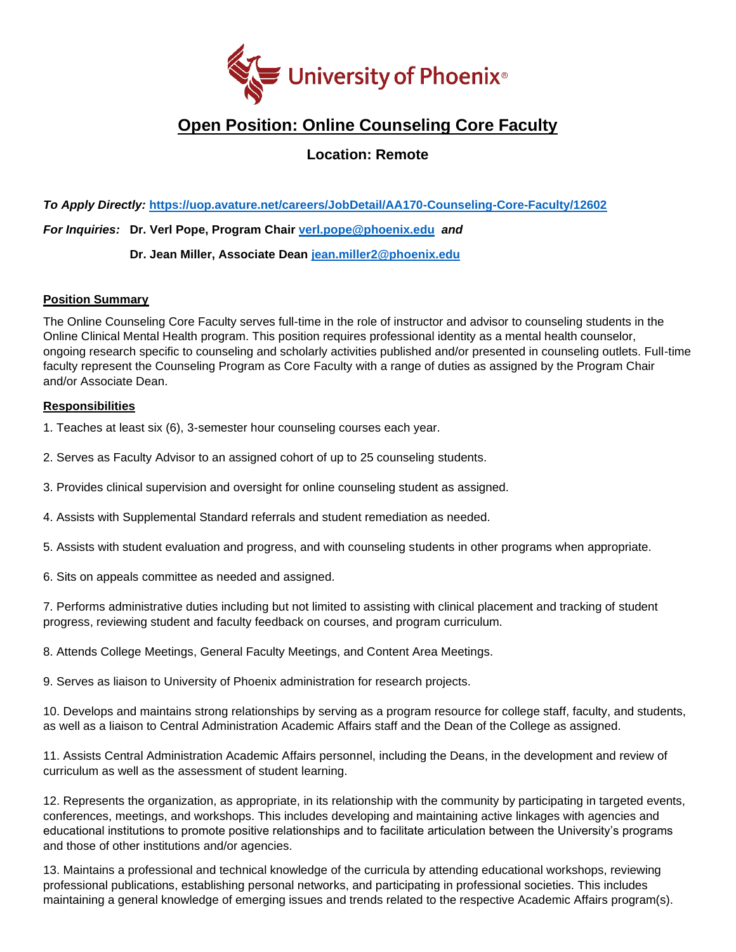

# **Open Position: Online Counseling Core Faculty**

**Location: Remote**

*To Apply Directly:* **<https://uop.avature.net/careers/JobDetail/AA170-Counseling-Core-Faculty/12602>**

*For Inquiries:* **Dr. Verl Pope, Program Chair [verl.pope@phoenix.edu](mailto:verl.pope@phoenix.edu)** *and* 

**Dr. Jean Miller, Associate Dean [jean.miller2@phoenix.edu](mailto:jean.miller2@phoenix.edu)**

## **Position Summary**

The Online Counseling Core Faculty serves full-time in the role of instructor and advisor to counseling students in the Online Clinical Mental Health program. This position requires professional identity as a mental health counselor, ongoing research specific to counseling and scholarly activities published and/or presented in counseling outlets. Full-time faculty represent the Counseling Program as Core Faculty with a range of duties as assigned by the Program Chair and/or Associate Dean.

## **Responsibilities**

1. Teaches at least six (6), 3-semester hour counseling courses each year.

2. Serves as Faculty Advisor to an assigned cohort of up to 25 counseling students.

3. Provides clinical supervision and oversight for online counseling student as assigned.

4. Assists with Supplemental Standard referrals and student remediation as needed.

5. Assists with student evaluation and progress, and with counseling students in other programs when appropriate.

6. Sits on appeals committee as needed and assigned.

7. Performs administrative duties including but not limited to assisting with clinical placement and tracking of student progress, reviewing student and faculty feedback on courses, and program curriculum.

8. Attends College Meetings, General Faculty Meetings, and Content Area Meetings.

9. Serves as liaison to University of Phoenix administration for research projects.

10. Develops and maintains strong relationships by serving as a program resource for college staff, faculty, and students, as well as a liaison to Central Administration Academic Affairs staff and the Dean of the College as assigned.

11. Assists Central Administration Academic Affairs personnel, including the Deans, in the development and review of curriculum as well as the assessment of student learning.

12. Represents the organization, as appropriate, in its relationship with the community by participating in targeted events, conferences, meetings, and workshops. This includes developing and maintaining active linkages with agencies and educational institutions to promote positive relationships and to facilitate articulation between the University's programs and those of other institutions and/or agencies.

13. Maintains a professional and technical knowledge of the curricula by attending educational workshops, reviewing professional publications, establishing personal networks, and participating in professional societies. This includes maintaining a general knowledge of emerging issues and trends related to the respective Academic Affairs program(s).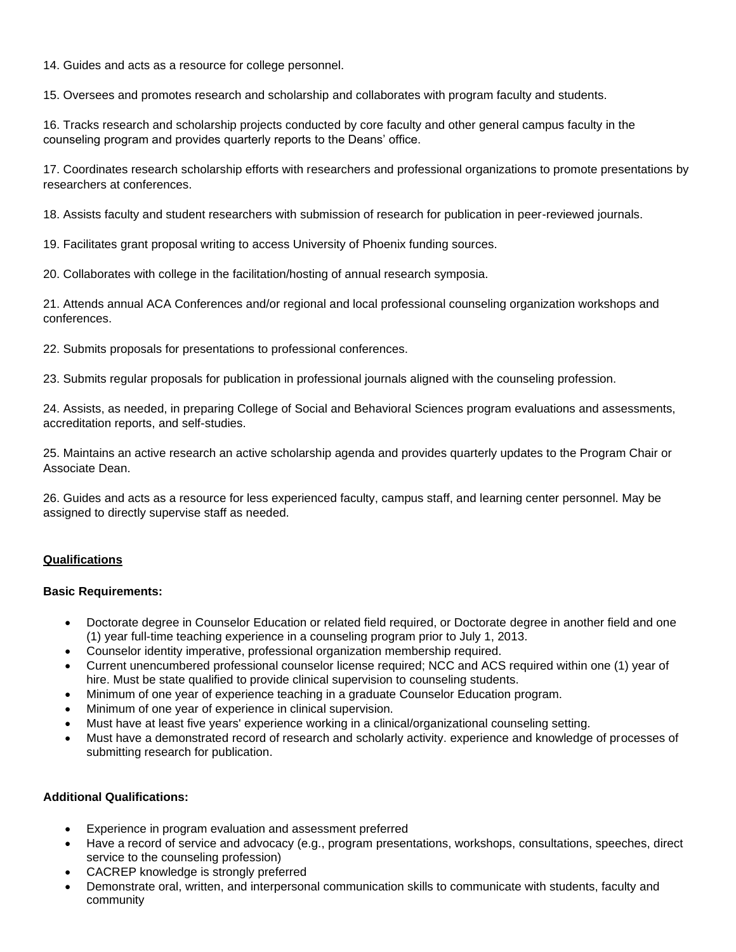14. Guides and acts as a resource for college personnel.

15. Oversees and promotes research and scholarship and collaborates with program faculty and students.

16. Tracks research and scholarship projects conducted by core faculty and other general campus faculty in the counseling program and provides quarterly reports to the Deans' office.

17. Coordinates research scholarship efforts with researchers and professional organizations to promote presentations by researchers at conferences.

18. Assists faculty and student researchers with submission of research for publication in peer-reviewed journals.

19. Facilitates grant proposal writing to access University of Phoenix funding sources.

20. Collaborates with college in the facilitation/hosting of annual research symposia.

21. Attends annual ACA Conferences and/or regional and local professional counseling organization workshops and conferences.

22. Submits proposals for presentations to professional conferences.

23. Submits regular proposals for publication in professional journals aligned with the counseling profession.

24. Assists, as needed, in preparing College of Social and Behavioral Sciences program evaluations and assessments, accreditation reports, and self-studies.

25. Maintains an active research an active scholarship agenda and provides quarterly updates to the Program Chair or Associate Dean.

26. Guides and acts as a resource for less experienced faculty, campus staff, and learning center personnel. May be assigned to directly supervise staff as needed.

## **Qualifications**

#### **Basic Requirements:**

- Doctorate degree in Counselor Education or related field required, or Doctorate degree in another field and one (1) year full-time teaching experience in a counseling program prior to July 1, 2013.
- Counselor identity imperative, professional organization membership required.
- Current unencumbered professional counselor license required; NCC and ACS required within one (1) year of hire. Must be state qualified to provide clinical supervision to counseling students.
- Minimum of one year of experience teaching in a graduate Counselor Education program.
- Minimum of one year of experience in clinical supervision.
- Must have at least five years' experience working in a clinical/organizational counseling setting.
- Must have a demonstrated record of research and scholarly activity. experience and knowledge of processes of submitting research for publication.

#### **Additional Qualifications:**

- Experience in program evaluation and assessment preferred
- Have a record of service and advocacy (e.g., program presentations, workshops, consultations, speeches, direct service to the counseling profession)
- CACREP knowledge is strongly preferred
- Demonstrate oral, written, and interpersonal communication skills to communicate with students, faculty and community